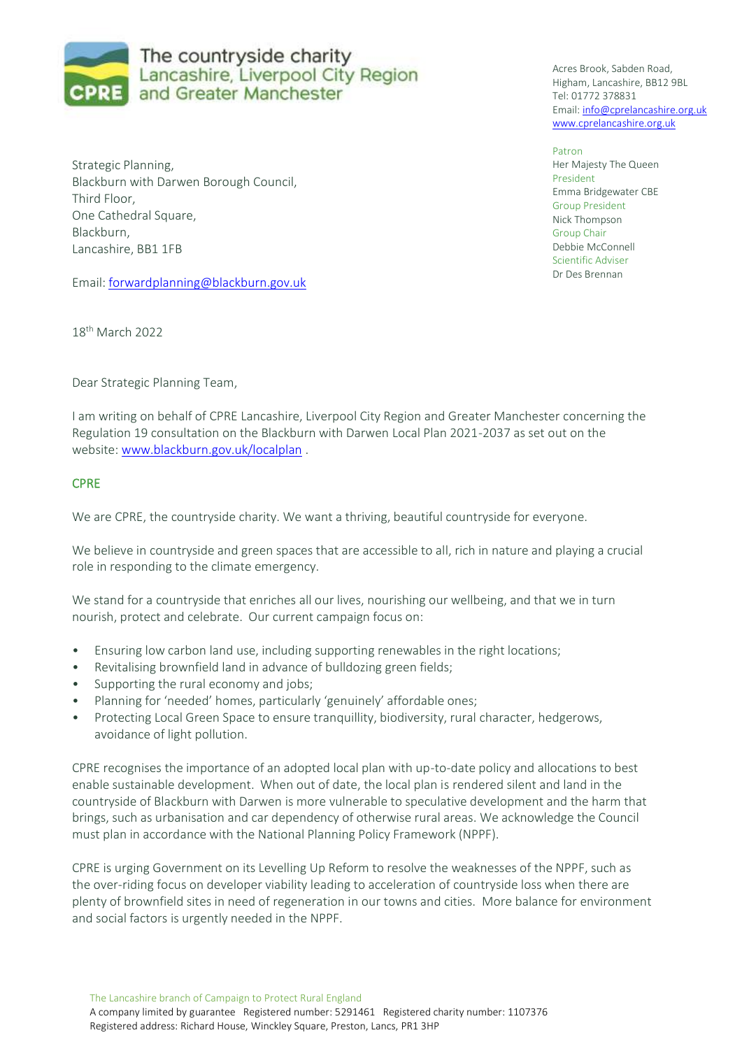

Strategic Planning, Blackburn with Darwen Borough Council, Third Floor, One Cathedral Square, Blackburn, Lancashire, BB1 1FB

Email: [forwardplanning@blackburn.gov.uk](mailto:forwardplanning@blackburn.gov.uk)

18th March 2022

Dear Strategic Planning Team,

I am writing on behalf of CPRE Lancashire, Liverpool City Region and Greater Manchester concerning the Regulation 19 consultation on the Blackburn with Darwen Local Plan 2021-2037 as set out on the website[: www.blackburn.gov.uk/localplan](http://www.blackburn.gov.uk/localplan) .

## **CPRE**

We are CPRE, the countryside charity. We want a thriving, beautiful countryside for everyone.

We believe in countryside and green spaces that are accessible to all, rich in nature and playing a crucial role in responding to the climate emergency.

We stand for a countryside that enriches all our lives, nourishing our wellbeing, and that we in turn nourish, protect and celebrate. Our current campaign focus on:

- Ensuring low carbon land use, including supporting renewables in the right locations;
- Revitalising brownfield land in advance of bulldozing green fields;
- Supporting the rural economy and jobs;
- Planning for 'needed' homes, particularly 'genuinely' affordable ones;
- Protecting Local Green Space to ensure tranquillity, biodiversity, rural character, hedgerows, avoidance of light pollution.

CPRE recognises the importance of an adopted local plan with up-to-date policy and allocations to best enable sustainable development. When out of date, the local plan is rendered silent and land in the countryside of Blackburn with Darwen is more vulnerable to speculative development and the harm that brings, such as urbanisation and car dependency of otherwise rural areas. We acknowledge the Council must plan in accordance with the National Planning Policy Framework (NPPF).

CPRE is urging Government on its Levelling Up Reform to resolve the weaknesses of the NPPF, such as the over-riding focus on developer viability leading to acceleration of countryside loss when there are plenty of brownfield sites in need of regeneration in our towns and cities. More balance for environment and social factors is urgently needed in the NPPF.

The Lancashire branch of Campaign to Protect Rural England A company limited by guarantee Registered number: 5291461 Registered charity number: 1107376 Registered address: Richard House, Winckley Square, Preston, Lancs, PR1 3HP

Acres Brook, Sabden Road, Higham, Lancashire, BB12 9BL Tel: 01772 378831 Email: [info@cprelancashire.org.uk](mailto:info@cprelancashire.org.uk) [www.cprelancashire.org.uk](http://www.cprelancashire.org.uk/)

Patron Her Majesty The Queen President Emma Bridgewater CBE Group President Nick Thompson Group Chair Debbie McConnell Scientific Adviser Dr Des Brennan